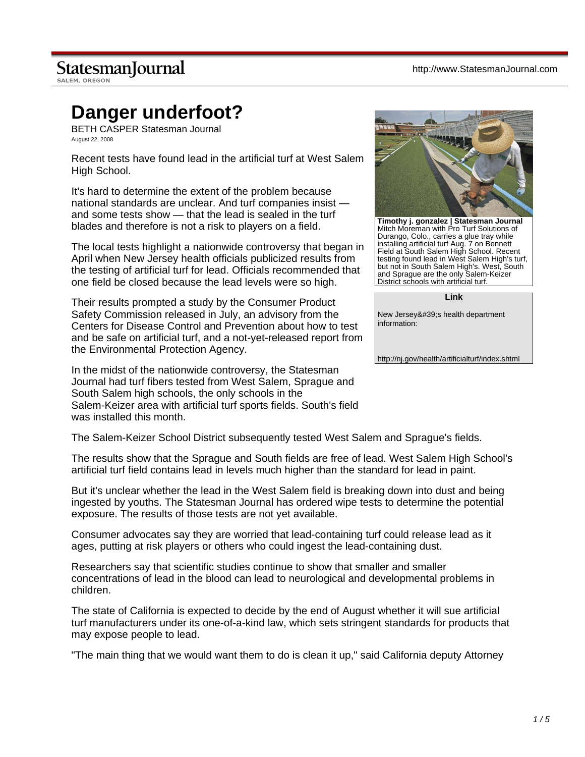# **StatesmanJournal**

SALEM, OREGON

# **Danger underfoot?**

BETH CASPER Statesman Journal August 22, 2008

Recent tests have found lead in the artificial turf at West Salem High School.

It's hard to determine the extent of the problem because national standards are unclear. And turf companies insist and some tests show — that the lead is sealed in the turf blades and therefore is not a risk to players on a field.

The local tests highlight a nationwide controversy that began in April when New Jersey health officials publicized results from the testing of artificial turf for lead. Officials recommended that one field be closed because the lead levels were so high.

Their results prompted a study by the Consumer Product Safety Commission released in July, an advisory from the Centers for Disease Control and Prevention about how to test and be safe on artificial turf, and a not-yet-released report from the Environmental Protection Agency.

In the midst of the nationwide controversy, the Statesman Journal had turf fibers tested from West Salem, Sprague and South Salem high schools, the only schools in the Salem-Keizer area with artificial turf sports fields. South's field was installed this month.



**Timothy j. gonzalez | Statesman Journal** Mitch Moreman with Pro Turf Solutions of Durango, Colo., carries a glue tray while installing artificial turf Aug. 7 on Bennett Field at South Salem High School. Recent testing found lead in West Salem High's turf, but not in South Salem High's. West, South and Sprague are the only Salem-Keizer District schools with artificial turf.

**Link**

New Jersey's health department information:

http://nj.gov/health/artificialturf/index.shtml

The Salem-Keizer School District subsequently tested West Salem and Sprague's fields.

The results show that the Sprague and South fields are free of lead. West Salem High School's artificial turf field contains lead in levels much higher than the standard for lead in paint.

But it's unclear whether the lead in the West Salem field is breaking down into dust and being ingested by youths. The Statesman Journal has ordered wipe tests to determine the potential exposure. The results of those tests are not yet available.

Consumer advocates say they are worried that lead-containing turf could release lead as it ages, putting at risk players or others who could ingest the lead-containing dust.

Researchers say that scientific studies continue to show that smaller and smaller concentrations of lead in the blood can lead to neurological and developmental problems in children.

The state of California is expected to decide by the end of August whether it will sue artificial turf manufacturers under its one-of-a-kind law, which sets stringent standards for products that may expose people to lead.

"The main thing that we would want them to do is clean it up," said California deputy Attorney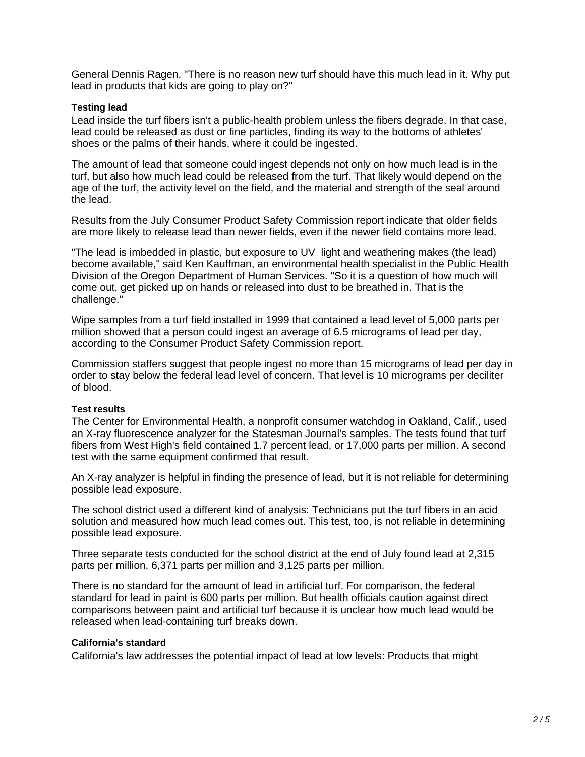General Dennis Ragen. "There is no reason new turf should have this much lead in it. Why put lead in products that kids are going to play on?"

## **Testing lead**

Lead inside the turf fibers isn't a public-health problem unless the fibers degrade. In that case, lead could be released as dust or fine particles, finding its way to the bottoms of athletes' shoes or the palms of their hands, where it could be ingested.

The amount of lead that someone could ingest depends not only on how much lead is in the turf, but also how much lead could be released from the turf. That likely would depend on the age of the turf, the activity level on the field, and the material and strength of the seal around the lead.

Results from the July Consumer Product Safety Commission report indicate that older fields are more likely to release lead than newer fields, even if the newer field contains more lead.

"The lead is imbedded in plastic, but exposure to UV light and weathering makes (the lead) become available," said Ken Kauffman, an environmental health specialist in the Public Health Division of the Oregon Department of Human Services. "So it is a question of how much will come out, get picked up on hands or released into dust to be breathed in. That is the challenge."

Wipe samples from a turf field installed in 1999 that contained a lead level of 5,000 parts per million showed that a person could ingest an average of 6.5 micrograms of lead per day, according to the Consumer Product Safety Commission report.

Commission staffers suggest that people ingest no more than 15 micrograms of lead per day in order to stay below the federal lead level of concern. That level is 10 micrograms per deciliter of blood.

# **Test results**

The Center for Environmental Health, a nonprofit consumer watchdog in Oakland, Calif., used an X-ray fluorescence analyzer for the Statesman Journal's samples. The tests found that turf fibers from West High's field contained 1.7 percent lead, or 17,000 parts per million. A second test with the same equipment confirmed that result.

An X-ray analyzer is helpful in finding the presence of lead, but it is not reliable for determining possible lead exposure.

The school district used a different kind of analysis: Technicians put the turf fibers in an acid solution and measured how much lead comes out. This test, too, is not reliable in determining possible lead exposure.

Three separate tests conducted for the school district at the end of July found lead at 2,315 parts per million, 6,371 parts per million and 3,125 parts per million.

There is no standard for the amount of lead in artificial turf. For comparison, the federal standard for lead in paint is 600 parts per million. But health officials caution against direct comparisons between paint and artificial turf because it is unclear how much lead would be released when lead-containing turf breaks down.

### **California's standard**

California's law addresses the potential impact of lead at low levels: Products that might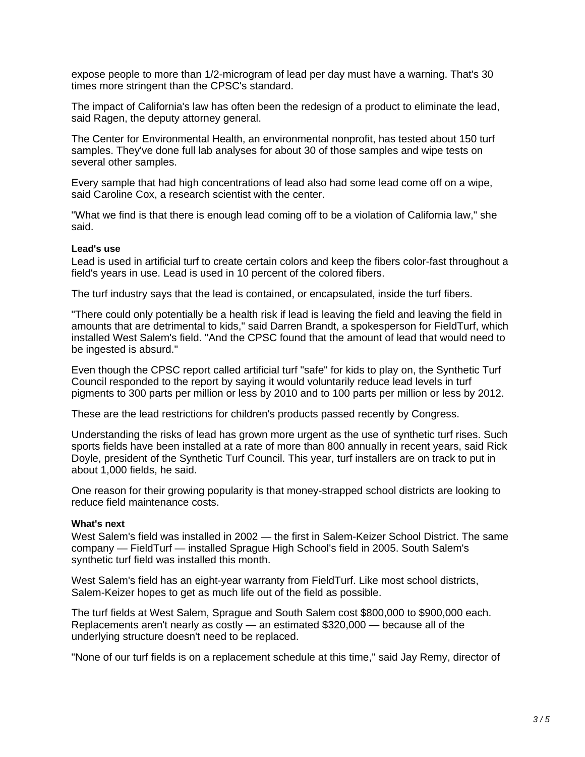expose people to more than 1/2-microgram of lead per day must have a warning. That's 30 times more stringent than the CPSC's standard.

The impact of California's law has often been the redesign of a product to eliminate the lead, said Ragen, the deputy attorney general.

The Center for Environmental Health, an environmental nonprofit, has tested about 150 turf samples. They've done full lab analyses for about 30 of those samples and wipe tests on several other samples.

Every sample that had high concentrations of lead also had some lead come off on a wipe, said Caroline Cox, a research scientist with the center.

"What we find is that there is enough lead coming off to be a violation of California law," she said.

### **Lead's use**

Lead is used in artificial turf to create certain colors and keep the fibers color-fast throughout a field's years in use. Lead is used in 10 percent of the colored fibers.

The turf industry says that the lead is contained, or encapsulated, inside the turf fibers.

"There could only potentially be a health risk if lead is leaving the field and leaving the field in amounts that are detrimental to kids," said Darren Brandt, a spokesperson for FieldTurf, which installed West Salem's field. "And the CPSC found that the amount of lead that would need to be ingested is absurd."

Even though the CPSC report called artificial turf "safe" for kids to play on, the Synthetic Turf Council responded to the report by saying it would voluntarily reduce lead levels in turf pigments to 300 parts per million or less by 2010 and to 100 parts per million or less by 2012.

These are the lead restrictions for children's products passed recently by Congress.

Understanding the risks of lead has grown more urgent as the use of synthetic turf rises. Such sports fields have been installed at a rate of more than 800 annually in recent years, said Rick Doyle, president of the Synthetic Turf Council. This year, turf installers are on track to put in about 1,000 fields, he said.

One reason for their growing popularity is that money-strapped school districts are looking to reduce field maintenance costs.

### **What's next**

West Salem's field was installed in 2002 — the first in Salem-Keizer School District. The same company — FieldTurf — installed Sprague High School's field in 2005. South Salem's synthetic turf field was installed this month.

West Salem's field has an eight-year warranty from FieldTurf. Like most school districts, Salem-Keizer hopes to get as much life out of the field as possible.

The turf fields at West Salem, Sprague and South Salem cost \$800,000 to \$900,000 each. Replacements aren't nearly as costly — an estimated \$320,000 — because all of the underlying structure doesn't need to be replaced.

"None of our turf fields is on a replacement schedule at this time," said Jay Remy, director of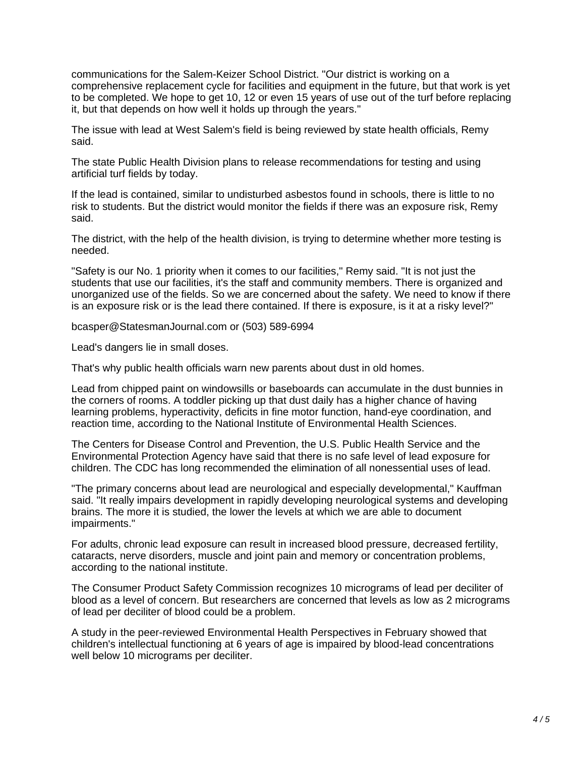communications for the Salem-Keizer School District. "Our district is working on a comprehensive replacement cycle for facilities and equipment in the future, but that work is yet to be completed. We hope to get 10, 12 or even 15 years of use out of the turf before replacing it, but that depends on how well it holds up through the years."

The issue with lead at West Salem's field is being reviewed by state health officials, Remy said.

The state Public Health Division plans to release recommendations for testing and using artificial turf fields by today.

If the lead is contained, similar to undisturbed asbestos found in schools, there is little to no risk to students. But the district would monitor the fields if there was an exposure risk, Remy said.

The district, with the help of the health division, is trying to determine whether more testing is needed.

"Safety is our No. 1 priority when it comes to our facilities," Remy said. "It is not just the students that use our facilities, it's the staff and community members. There is organized and unorganized use of the fields. So we are concerned about the safety. We need to know if there is an exposure risk or is the lead there contained. If there is exposure, is it at a risky level?"

bcasper@StatesmanJournal.com or (503) 589-6994

Lead's dangers lie in small doses.

That's why public health officials warn new parents about dust in old homes.

Lead from chipped paint on windowsills or baseboards can accumulate in the dust bunnies in the corners of rooms. A toddler picking up that dust daily has a higher chance of having learning problems, hyperactivity, deficits in fine motor function, hand-eye coordination, and reaction time, according to the National Institute of Environmental Health Sciences.

The Centers for Disease Control and Prevention, the U.S. Public Health Service and the Environmental Protection Agency have said that there is no safe level of lead exposure for children. The CDC has long recommended the elimination of all nonessential uses of lead.

"The primary concerns about lead are neurological and especially developmental," Kauffman said. "It really impairs development in rapidly developing neurological systems and developing brains. The more it is studied, the lower the levels at which we are able to document impairments."

For adults, chronic lead exposure can result in increased blood pressure, decreased fertility, cataracts, nerve disorders, muscle and joint pain and memory or concentration problems, according to the national institute.

The Consumer Product Safety Commission recognizes 10 micrograms of lead per deciliter of blood as a level of concern. But researchers are concerned that levels as low as 2 micrograms of lead per deciliter of blood could be a problem.

A study in the peer-reviewed Environmental Health Perspectives in February showed that children's intellectual functioning at 6 years of age is impaired by blood-lead concentrations well below 10 micrograms per deciliter.